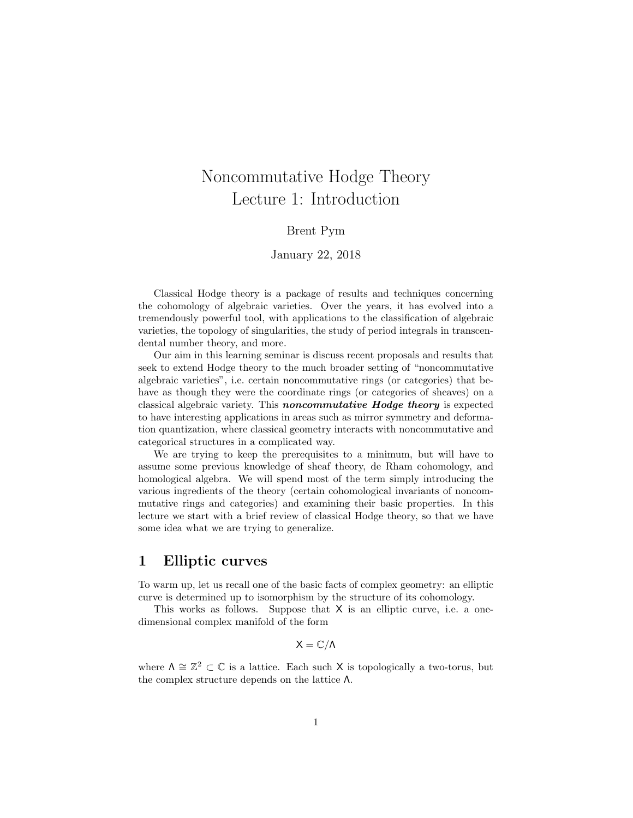# Noncommutative Hodge Theory Lecture 1: Introduction

#### Brent Pym

#### January 22, 2018

Classical Hodge theory is a package of results and techniques concerning the cohomology of algebraic varieties. Over the years, it has evolved into a tremendously powerful tool, with applications to the classification of algebraic varieties, the topology of singularities, the study of period integrals in transcendental number theory, and more.

Our aim in this learning seminar is discuss recent proposals and results that seek to extend Hodge theory to the much broader setting of "noncommutative algebraic varieties", i.e. certain noncommutative rings (or categories) that behave as though they were the coordinate rings (or categories of sheaves) on a classical algebraic variety. This noncommutative Hodge theory is expected to have interesting applications in areas such as mirror symmetry and deformation quantization, where classical geometry interacts with noncommutative and categorical structures in a complicated way.

We are trying to keep the prerequisites to a minimum, but will have to assume some previous knowledge of sheaf theory, de Rham cohomology, and homological algebra. We will spend most of the term simply introducing the various ingredients of the theory (certain cohomological invariants of noncommutative rings and categories) and examining their basic properties. In this lecture we start with a brief review of classical Hodge theory, so that we have some idea what we are trying to generalize.

### 1 Elliptic curves

To warm up, let us recall one of the basic facts of complex geometry: an elliptic curve is determined up to isomorphism by the structure of its cohomology.

This works as follows. Suppose that X is an elliptic curve, i.e. a onedimensional complex manifold of the form

$$
X=\mathbb{C}/\Lambda
$$

where  $\Lambda \cong \mathbb{Z}^2 \subset \mathbb{C}$  is a lattice. Each such X is topologically a two-torus, but the complex structure depends on the lattice Λ.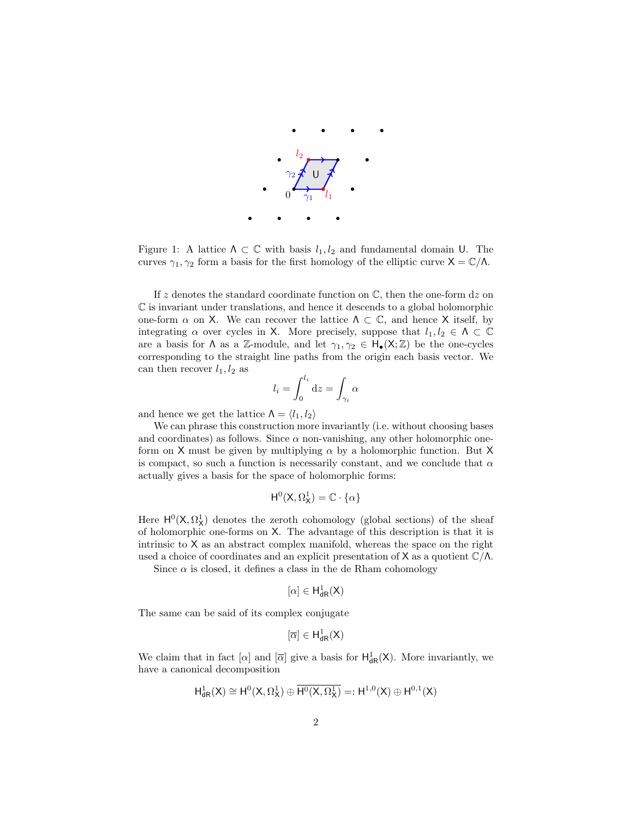

<span id="page-1-0"></span>Figure 1: A lattice  $\Lambda \subset \mathbb{C}$  with basis  $l_1, l_2$  and fundamental domain U. The curves  $\gamma_1, \gamma_2$  form a basis for the first homology of the elliptic curve  $X = \mathbb{C}/\Lambda$ .

If z denotes the standard coordinate function on  $\mathbb{C}$ , then the one-form dz on  $\mathbb C$  is invariant under translations, and hence it descends to a global holomorphic one-form  $\alpha$  on X. We can recover the lattice  $\Lambda \subset \mathbb{C}$ , and hence X itself, by integrating  $\alpha$  over cycles in X. More precisely, suppose that  $l_1, l_2 \in \Lambda \subset \mathbb{C}$ are a basis for  $\Lambda$  as a Z-module, and let  $\gamma_1, \gamma_2 \in H_{\bullet}(\mathsf{X}; \mathbb{Z})$  be the one-cycles corresponding to the straight line paths from the origin each basis vector. We can then recover  $l_1, l_2$  as

$$
l_i = \int_0^{l_i} \mathrm{d}z = \int_{\gamma_i} \alpha
$$

and hence we get the lattice  $\Lambda = \langle l_1, l_2 \rangle$ 

We can phrase this construction more invariantly (i.e. without choosing bases and coordinates) as follows. Since  $\alpha$  non-vanishing, any other holomorphic oneform on X must be given by multiplying  $\alpha$  by a holomorphic function. But X is compact, so such a function is necessarily constant, and we conclude that  $\alpha$ actually gives a basis for the space of holomorphic forms:

$$
\mathsf{H}^0(\mathsf{X},\Omega^1_{\mathsf{X}})=\mathbb{C}\cdot\{\alpha\}
$$

Here  $H^0(X, \Omega^1_X)$  denotes the zeroth cohomology (global sections) of the sheaf of holomorphic one-forms on X. The advantage of this description is that it is intrinsic to X as an abstract complex manifold, whereas the space on the right used a choice of coordinates and an explicit presentation of  $X$  as a quotient  $\mathbb{C}/\Lambda$ .

Since  $\alpha$  is closed, it defines a class in the de Rham cohomology

$$
[\alpha]\in H^1_{\textup{dR}}(X)
$$

The same can be said of its complex conjugate

$$
[\overline{\alpha}]\in H^1_{dR}(X)
$$

We claim that in fact  $[\alpha]$  and  $[\overline{\alpha}]$  give a basis for  $H^1_{dR}(X)$ . More invariantly, we have a canonical decomposition

$$
H^1_{\textup{dR}}(X)\cong H^0(X,\Omega^1_X)\oplus\overline{H^0(X,\Omega^1_X)}=:H^{1,0}(X)\oplus H^{0,1}(X)
$$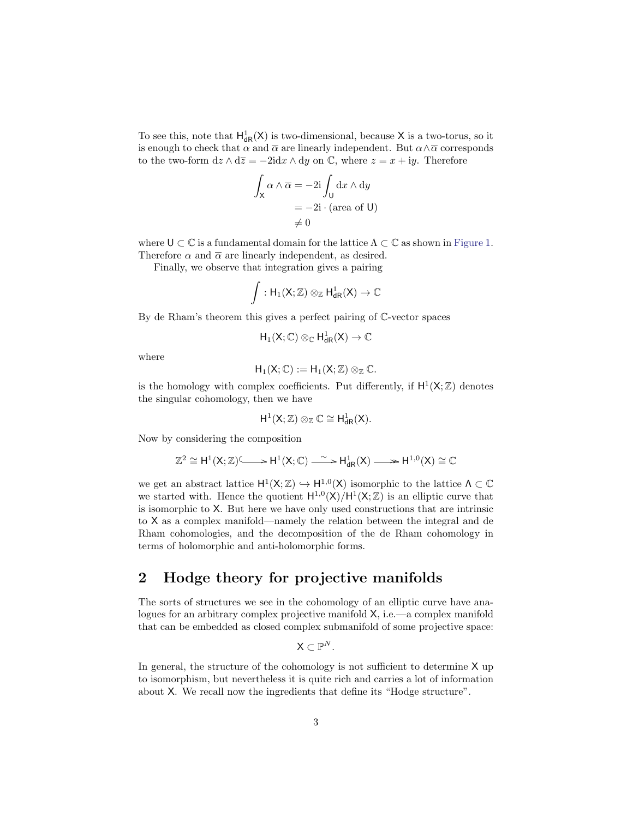To see this, note that  $H^1_{dR}(X)$  is two-dimensional, because X is a two-torus, so it is enough to check that  $\alpha$  and  $\overline{\alpha}$  are linearly independent. But  $\alpha \wedge \overline{\alpha}$  corresponds to the two-form  $dz \wedge d\overline{z} = -2idx \wedge dy$  on  $\mathbb{C}$ , where  $z = x + iy$ . Therefore

$$
\int_{\mathsf{X}} \alpha \wedge \overline{\alpha} = -2i \int_{\mathsf{U}} dx \wedge dy
$$

$$
= -2i \cdot (\text{area of } \mathsf{U})
$$

$$
\neq 0
$$

where  $\mathsf{U} \subset \mathbb{C}$  is a fundamental domain for the lattice  $\Lambda \subset \mathbb{C}$  as shown in [Figure 1.](#page-1-0) Therefore  $\alpha$  and  $\overline{\alpha}$  are linearly independent, as desired.

Finally, we observe that integration gives a pairing

$$
\int: H_1(X;\mathbb{Z})\otimes_\mathbb{Z} H^1_{\textup{dR}}(X)\to \mathbb{C}
$$

By de Rham's theorem this gives a perfect pairing of C-vector spaces

$$
H_1(X;\mathbb{C})\otimes_{\mathbb{C}}H^1_{dR}(X)\to \mathbb{C}
$$

where

$$
H_1(X;\mathbb{C}):=H_1(X;\mathbb{Z})\otimes_{\mathbb{Z}}\mathbb{C}.
$$

is the homology with complex coefficients. Put differently, if  $H^1(X;\mathbb{Z})$  denotes the singular cohomology, then we have

$$
H^1(X;\mathbb{Z})\otimes_\mathbb{Z}\mathbb{C}\cong H^1_{dR}(X).
$$

Now by considering the composition

$$
\mathbb{Z}^2\cong H^1(X;\mathbb{Z})^{\textstyle\zeta}\longrightarrow H^1(X;\mathbb{C})\stackrel{\sim}{\longrightarrow} H^1_{dR}(X)\longrightarrow\!\!\!\!\longrightarrow H^{1,0}(X)\cong\mathbb{C}
$$

we get an abstract lattice  $H^1(X;\mathbb{Z}) \hookrightarrow H^{1,0}(X)$  isomorphic to the lattice  $\Lambda \subset \mathbb{C}$ we started with. Hence the quotient  $H^{1,0}(X)/H^{1}(X;\mathbb{Z})$  is an elliptic curve that is isomorphic to X. But here we have only used constructions that are intrinsic to X as a complex manifold—namely the relation between the integral and de Rham cohomologies, and the decomposition of the de Rham cohomology in terms of holomorphic and anti-holomorphic forms.

# 2 Hodge theory for projective manifolds

The sorts of structures we see in the cohomology of an elliptic curve have analogues for an arbitrary complex projective manifold X, i.e.—a complex manifold that can be embedded as closed complex submanifold of some projective space:

 $\mathsf{X} \subset \mathbb{P}^N$ .

In general, the structure of the cohomology is not sufficient to determine X up to isomorphism, but nevertheless it is quite rich and carries a lot of information about X. We recall now the ingredients that define its "Hodge structure".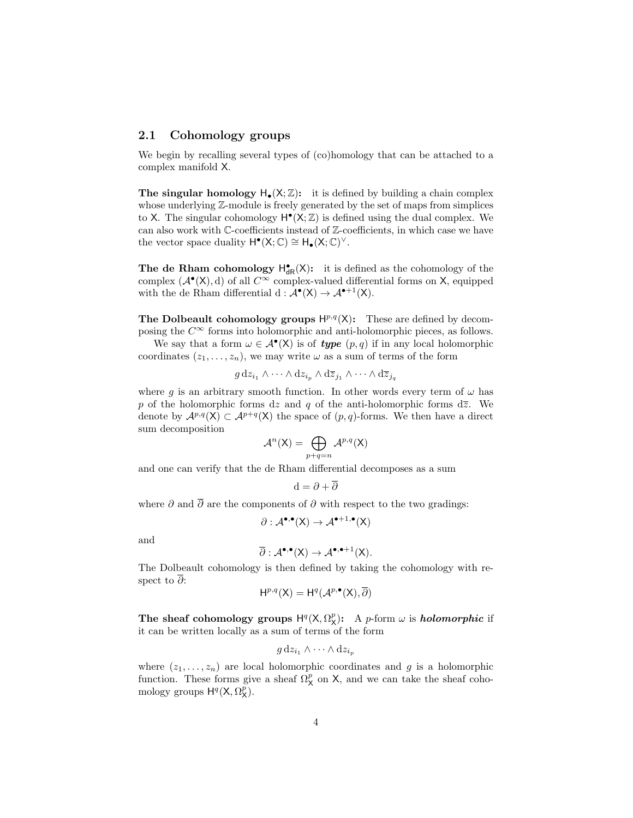#### 2.1 Cohomology groups

We begin by recalling several types of (co)homology that can be attached to a complex manifold X.

**The singular homology**  $H_{\bullet}(X;\mathbb{Z})$ **:** it is defined by building a chain complex whose underlying  $\mathbb{Z}$ -module is freely generated by the set of maps from simplices to X. The singular cohomology  $H^{\bullet}(X;\mathbb{Z})$  is defined using the dual complex. We can also work with C-coefficients instead of Z-coefficients, in which case we have the vector space duality  $H^{\bullet}(X; \mathbb{C}) \cong H_{\bullet}(X; \mathbb{C})^{\vee}$ .

The de Rham cohomology  $H_{dR}^{\bullet}(X)$ : it is defined as the cohomology of the complex  $(A^{\bullet}(X), d)$  of all  $C^{\infty}$  complex-valued differential forms on X, equipped with the de Rham differential  $d : \mathcal{A}^{\bullet}(X) \to \mathcal{A}^{\bullet+1}(X)$ .

The Dolbeault cohomology groups  $H^{p,q}(X)$ : These are defined by decomposing the  $C^{\infty}$  forms into holomorphic and anti-holomorphic pieces, as follows.

We say that a form  $\omega \in \mathcal{A}^{\bullet}(\mathsf{X})$  is of **type**  $(p, q)$  if in any local holomorphic coordinates  $(z_1, \ldots, z_n)$ , we may write  $\omega$  as a sum of terms of the form

$$
g dz_{i_1} \wedge \cdots \wedge dz_{i_p} \wedge d\overline{z}_{j_1} \wedge \cdots \wedge d\overline{z}_{j_q}
$$

where g is an arbitrary smooth function. In other words every term of  $\omega$  has p of the holomorphic forms dz and q of the anti-holomorphic forms  $d\overline{z}$ . We denote by  $\mathcal{A}^{p,q}(X) \subset \mathcal{A}^{p+q}(X)$  the space of  $(p,q)$ -forms. We then have a direct sum decomposition

$$
\mathcal{A}^n(\mathsf{X}) = \bigoplus_{p+q=n} \mathcal{A}^{p,q}(\mathsf{X})
$$

and one can verify that the de Rham differential decomposes as a sum

$$
d = \partial + \overline{\partial}
$$

where  $\partial$  and  $\overline{\partial}$  are the components of  $\partial$  with respect to the two gradings:

$$
\partial: \mathcal{A}^{\bullet,\bullet}(X) \to \mathcal{A}^{\bullet+1,\bullet}(X)
$$

and

$$
\overline{\partial}: \mathcal{A}^{\bullet,\bullet}(X) \to \mathcal{A}^{\bullet,\bullet+1}(X).
$$

The Dolbeault cohomology is then defined by taking the cohomology with respect to ∂:

$$
H^{p,q}(X) = H^q(\mathcal{A}^{p,\bullet}(X), \overline{\partial})
$$

The sheaf cohomology groups  $H^q(X, \Omega_X^p)$ : A p-form  $\omega$  is *holomorphic* if it can be written locally as a sum of terms of the form

$$
g \, \mathrm{d} z_{i_1} \wedge \cdots \wedge \mathrm{d} z_{i_p}
$$

where  $(z_1, \ldots, z_n)$  are local holomorphic coordinates and g is a holomorphic function. These forms give a sheaf  $\Omega_X^p$  on X, and we can take the sheaf cohomology groups  $H^q(X, \Omega_X^{\tilde{p}})$ .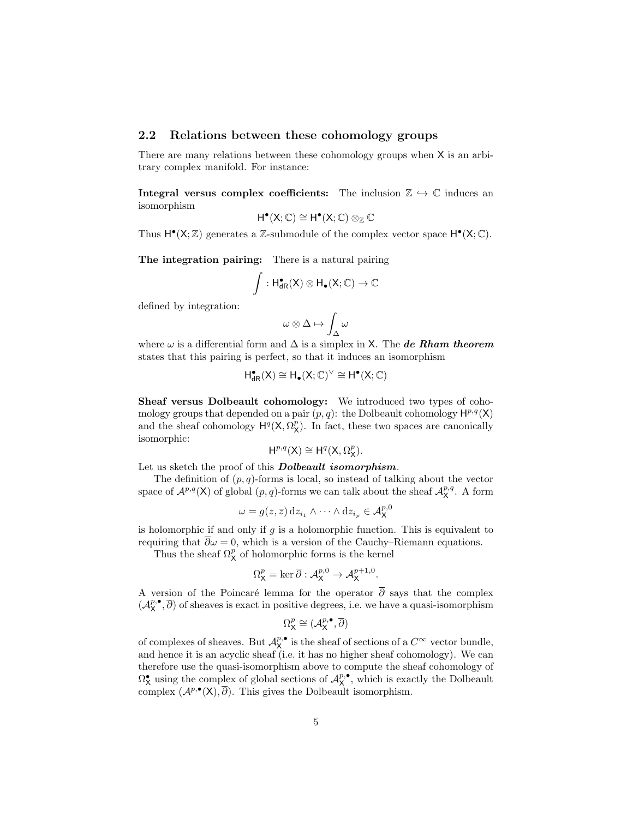#### 2.2 Relations between these cohomology groups

There are many relations between these cohomology groups when X is an arbitrary complex manifold. For instance:

Integral versus complex coefficients: The inclusion  $\mathbb{Z} \hookrightarrow \mathbb{C}$  induces an isomorphism

$$
H^{\bullet}(X; \mathbb{C}) \cong H^{\bullet}(X; \mathbb{C}) \otimes_{\mathbb{Z}} \mathbb{C}
$$

Thus  $H^{\bullet}(X;\mathbb{Z})$  generates a  $\mathbb{Z}$ -submodule of the complex vector space  $H^{\bullet}(X;\mathbb{C})$ .

The integration pairing: There is a natural pairing

$$
\int: H_{dR}^{\bullet}(X)\otimes H_{\bullet}(X;\mathbb{C})\to \mathbb{C}
$$

defined by integration:

$$
\omega\otimes\Delta\mapsto\int_\Delta\omega
$$

where  $\omega$  is a differential form and  $\Delta$  is a simplex in X. The de Rham theorem states that this pairing is perfect, so that it induces an isomorphism

$$
H^\bullet_{dR}(X)\cong H_\bullet(X;\mathbb{C})^\vee\cong H^\bullet(X;\mathbb{C})
$$

Sheaf versus Dolbeault cohomology: We introduced two types of cohomology groups that depended on a pair  $(p, q)$ : the Dolbeault cohomology  $\mathsf{H}^{p,q}(\mathsf{X})$ and the sheaf cohomology  $H^q(X, \Omega_X^p)$ . In fact, these two spaces are canonically isomorphic:

$$
H^{p,q}(X) \cong H^q(X, \Omega_X^p).
$$

Let us sketch the proof of this **Dolbeault** isomorphism.

The definition of  $(p, q)$ -forms is local, so instead of talking about the vector space of  $\mathcal{A}^{p,q}(X)$  of global  $(p,q)$ -forms we can talk about the sheaf  $\mathcal{A}^{p,q}_X$ . A form

$$
\omega = g(z, \overline{z}) \, \mathrm{d}z_{i_1} \wedge \cdots \wedge \mathrm{d}z_{i_p} \in \mathcal{A}_{\mathsf{X}}^{p,0}
$$

is holomorphic if and only if  $q$  is a holomorphic function. This is equivalent to requiring that  $\overline{\partial}\omega = 0$ , which is a version of the Cauchy–Riemann equations.

Thus the sheaf  $\Omega^p_X$  of holomorphic forms is the kernel

$$
\Omega_{\mathsf{X}}^p = \ker \overline{\partial} : \mathcal{A}_{\mathsf{X}}^{p,0} \to \mathcal{A}_{\mathsf{X}}^{p+1,0}.
$$

A version of the Poincaré lemma for the operator  $\overline{\partial}$  says that the complex  $(\mathcal{A}_{\mathsf{X}}^{p,\bullet}, \overline{\partial})$  of sheaves is exact in positive degrees, i.e. we have a quasi-isomorphism

$$
\Omega^p_{\mathsf{X}} \cong (\mathcal{A}^{p,\bullet}_{\mathsf{X}}, \overline{\partial})
$$

of complexes of sheaves. But  $\mathcal{A}_{\mathsf{X}}^{p,\bullet}$  is the sheaf of sections of a  $C^{\infty}$  vector bundle, and hence it is an acyclic sheaf (i.e. it has no higher sheaf cohomology). We can therefore use the quasi-isomorphism above to compute the sheaf cohomology of  $\Omega_X^{\bullet}$  using the complex of global sections of  $\mathcal{A}_X^{p,\bullet}$ , which is exactly the Dolbeault complex  $(\mathcal{A}^{p,\bullet}(\mathsf{X}), \overline{\partial})$ . This gives the Dolbeault isomorphism.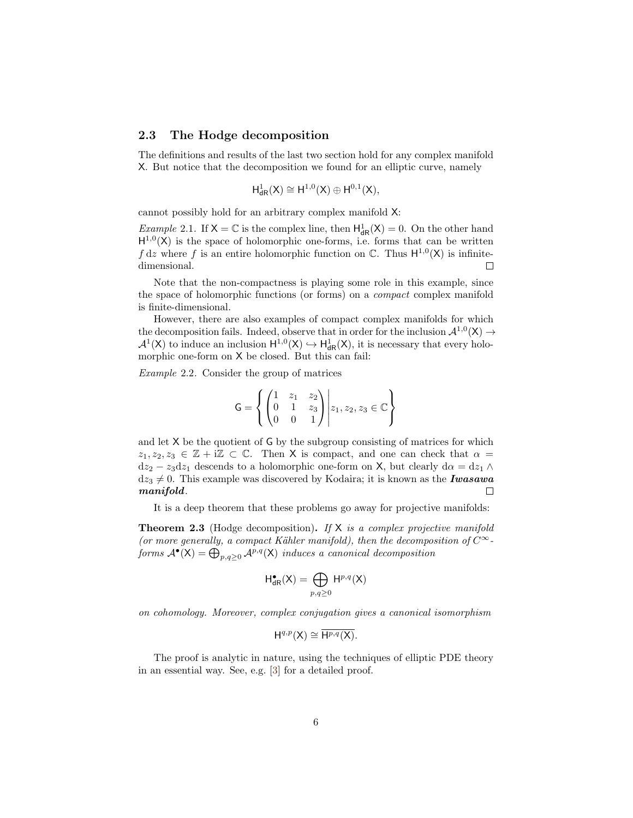#### 2.3 The Hodge decomposition

The definitions and results of the last two section hold for any complex manifold X. But notice that the decomposition we found for an elliptic curve, namely

$$
H^1_{\textup{dR}}(X)\cong H^{1,0}(X)\oplus H^{0,1}(X),
$$

cannot possibly hold for an arbitrary complex manifold X:

*Example* 2.1. If  $X = \mathbb{C}$  is the complex line, then  $H^1_{dR}(X) = 0$ . On the other hand  $H^{1,0}(X)$  is the space of holomorphic one-forms, i.e. forms that can be written  $f dz$  where f is an entire holomorphic function on  $\mathbb{C}$ . Thus  $H^{1,0}(X)$  is infinitedimensional.  $\Box$ 

Note that the non-compactness is playing some role in this example, since the space of holomorphic functions (or forms) on a compact complex manifold is finite-dimensional.

However, there are also examples of compact complex manifolds for which the decomposition fails. Indeed, observe that in order for the inclusion  $\mathcal{A}^{1,0}(X) \rightarrow$  $\mathcal{A}^1(X)$  to induce an inclusion  $H^{1,0}(X) \hookrightarrow H^1_{dR}(X)$ , it is necessary that every holomorphic one-form on X be closed. But this can fail:

Example 2.2. Consider the group of matrices

$$
\mathsf{G} = \left\{ \begin{pmatrix} 1 & z_1 & z_2 \\ 0 & 1 & z_3 \\ 0 & 0 & 1 \end{pmatrix} \middle| z_1, z_2, z_3 \in \mathbb{C} \right\}
$$

and let X be the quotient of G by the subgroup consisting of matrices for which  $z_1, z_2, z_3 \in \mathbb{Z} + i\mathbb{Z} \subset \mathbb{C}$ . Then X is compact, and one can check that  $\alpha =$  $dz_2 - z_3 dz_1$  descends to a holomorphic one-form on X, but clearly  $d\alpha = dz_1 \wedge dz_2$  $dz_3 \neq 0$ . This example was discovered by Kodaira; it is known as the **Iwasawa** manifold.  $\Box$ 

It is a deep theorem that these problems go away for projective manifolds:

**Theorem 2.3** (Hodge decomposition). If  $X$  is a complex projective manifold (or more generally, a compact Kähler manifold), then the decomposition of  $C^{\infty}$ forms  $\mathcal{A}^{\bullet}(\mathsf{X}) = \bigoplus_{p,q \geq 0} \mathcal{A}^{p,q}(\mathsf{X})$  induces a canonical decomposition

$$
H_{\mathrm{dR}}^{\bullet}(X)=\bigoplus_{p,q\geq 0}H^{p,q}(X)
$$

on cohomology. Moreover, complex conjugation gives a canonical isomorphism

$$
H^{q,p}(X) \cong \overline{H^{p,q}(X)}.
$$

The proof is analytic in nature, using the techniques of elliptic PDE theory in an essential way. See, e.g. [\[3\]](#page-9-0) for a detailed proof.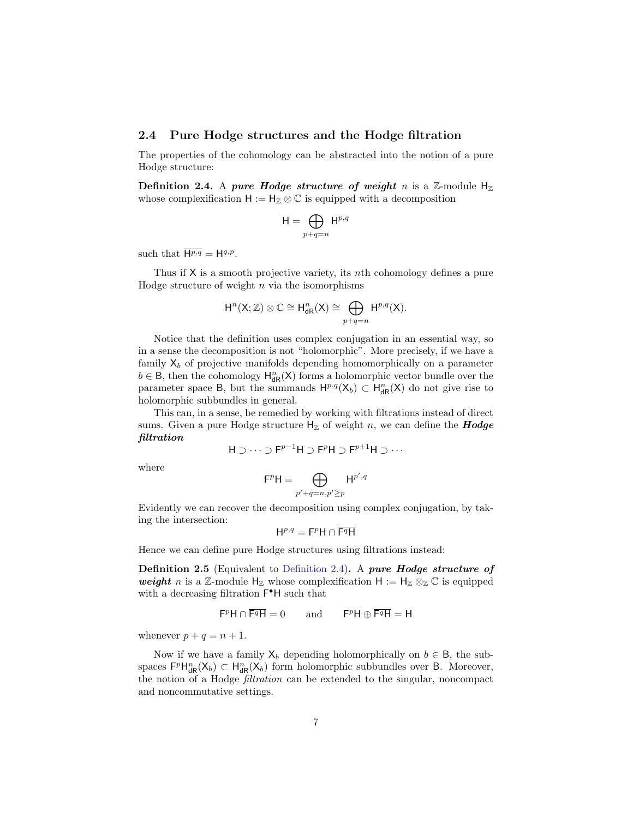#### 2.4 Pure Hodge structures and the Hodge filtration

The properties of the cohomology can be abstracted into the notion of a pure Hodge structure:

<span id="page-6-0"></span>Definition 2.4. A pure Hodge structure of weight n is a Z-module  $H_{\mathbb{Z}}$ whose complexification  $H := H_{\mathbb{Z}} \otimes \mathbb{C}$  is equipped with a decomposition

$$
\mathsf{H} = \bigoplus_{p+q=n} \mathsf{H}^{p,q}
$$

such that  $\overline{H^{p,q}} = H^{q,p}$ .

Thus if X is a smooth projective variety, its nth cohomology defines a pure Hodge structure of weight  $n$  via the isomorphisms

$$
H^n(X;\mathbb{Z})\otimes \mathbb{C}\cong H^n_{\textup{dR}}(X)\cong \bigoplus_{p+q=n} H^{p,q}(X).
$$

Notice that the definition uses complex conjugation in an essential way, so in a sense the decomposition is not "holomorphic". More precisely, if we have a family  $X_b$  of projective manifolds depending homomorphically on a parameter  $b \in \mathsf{B}$ , then the cohomology  $\mathsf{H}_{\mathsf{dR}}^n(\mathsf{X})$  forms a holomorphic vector bundle over the parameter space B, but the summands  $H^{p,q}(X_b) \subset H^n_{dR}(X)$  do not give rise to holomorphic subbundles in general.

This can, in a sense, be remedied by working with filtrations instead of direct sums. Given a pure Hodge structure  $H<sub>Z</sub>$  of weight n, we can define the **Hodge** filtration

$$
H \supset \cdots \supset F^{p-1}H \supset F^pH \supset F^{p+1}H \supset \cdots
$$

where

$$
\mathsf{F}^p \mathsf{H} = \bigoplus_{p'+q=n, p' \geq p} \mathsf{H}^{p',q}
$$

Evidently we can recover the decomposition using complex conjugation, by taking the intersection:

$$
\mathsf{H}^{p,q}=\mathsf{F}^p\mathsf{H}\cap\overline{\mathsf{F}^q\mathsf{H}}
$$

Hence we can define pure Hodge structures using filtrations instead:

Definition 2.5 (Equivalent to [Definition 2.4\)](#page-6-0). A pure Hodge structure of weight n is a Z-module  $H_{\mathbb{Z}}$  whose complexification  $H := H_{\mathbb{Z}} \otimes_{\mathbb{Z}} \mathbb{C}$  is equipped with a decreasing filtration  $\mathsf{F}^\bullet\mathsf{H}$  such that

$$
\mathsf{F}^p \mathsf{H} \cap \overline{\mathsf{F}^q \mathsf{H}} = 0 \quad \text{and} \quad \mathsf{F}^p \mathsf{H} \oplus \overline{\mathsf{F}^q \mathsf{H}} = \mathsf{H}
$$

whenever  $p + q = n + 1$ .

Now if we have a family  $X_b$  depending holomorphically on  $b \in B$ , the subspaces  $F^p H^n_{dR}(X_b) \subset H^n_{dR}(X_b)$  form holomorphic subbundles over B. Moreover, the notion of a Hodge filtration can be extended to the singular, noncompact and noncommutative settings.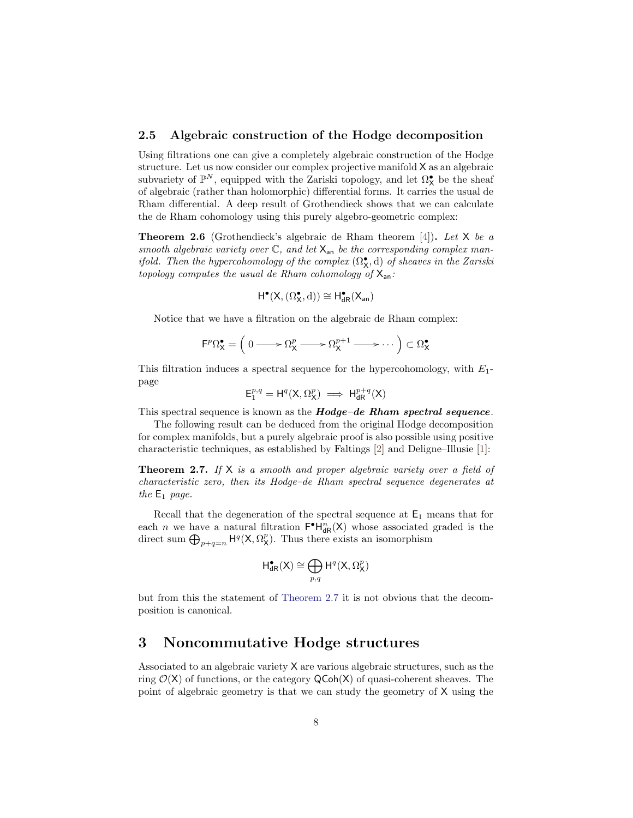#### 2.5 Algebraic construction of the Hodge decomposition

Using filtrations one can give a completely algebraic construction of the Hodge structure. Let us now consider our complex projective manifold X as an algebraic subvariety of  $\mathbb{P}^N$ , equipped with the Zariski topology, and let  $\Omega^\bullet_\mathsf{X}$  be the sheaf of algebraic (rather than holomorphic) differential forms. It carries the usual de Rham differential. A deep result of Grothendieck shows that we can calculate the de Rham cohomology using this purely algebro-geometric complex:

**Theorem 2.6** (Grothendieck's algebraic de Rham theorem [\[4\]](#page-10-0)). Let  $X$  be a smooth algebraic variety over  $\mathbb{C}$ , and let  $X_{an}$  be the corresponding complex manifold. Then the hypercohomology of the complex  $(\Omega_{\mathbf{X}}^{\bullet}, d)$  of sheaves in the Zariski topology computes the usual de Rham cohomology of  $X_{an}$ :

$$
H^{\bullet}(X,(\Omega^{\bullet}_X,\mathrm{d}))\cong H^{\bullet}_{dR}(X_{\text{an}})
$$

Notice that we have a filtration on the algebraic de Rham complex:

$$
\mathsf{F}^p \Omega^{\bullet}_{\mathsf{X}} = \left( 0 \longrightarrow \Omega^p_{\mathsf{X}} \longrightarrow \Omega^{p+1}_{\mathsf{X}} \longrightarrow \cdots \right) \subset \Omega^{\bullet}_{\mathsf{X}}
$$

This filtration induces a spectral sequence for the hypercohomology, with  $E_1$ page

$$
\mathsf{E}^{p,q}_1=\mathsf{H}^q(\mathsf{X},\Omega^p_{\mathsf{X}}) \implies \mathsf{H}^{p+q}_{\mathrm{dR}}(\mathsf{X})
$$

This spectral sequence is known as the **Hodge–de Rham spectral sequence**.

The following result can be deduced from the original Hodge decomposition for complex manifolds, but a purely algebraic proof is also possible using positive characteristic techniques, as established by Faltings [\[2\]](#page-9-1) and Deligne–Illusie [\[1\]](#page-9-2):

<span id="page-7-0"></span>**Theorem 2.7.** If  $X$  is a smooth and proper algebraic variety over a field of characteristic zero, then its Hodge–de Rham spectral sequence degenerates at the  $E_1$  page.

Recall that the degeneration of the spectral sequence at  $E_1$  means that for each *n* we have a natural filtration  $\mathsf{F}^{\bullet}H_{\mathsf{dR}}^n(X)$  whose associated graded is the direct sum  $\bigoplus_{p+q=n} H^q(X, \Omega_X^p)$ . Thus there exists an isomorphism

$$
\textup{H}_{\textup{dR}}^{\bullet}(X)\cong \bigoplus_{p,q}\textup{H}^q(X,\Omega_X^p)
$$

but from this the statement of [Theorem 2.7](#page-7-0) it is not obvious that the decomposition is canonical.

# 3 Noncommutative Hodge structures

Associated to an algebraic variety X are various algebraic structures, such as the ring  $\mathcal{O}(X)$  of functions, or the category  $\mathsf{QCoh}(X)$  of quasi-coherent sheaves. The point of algebraic geometry is that we can study the geometry of X using the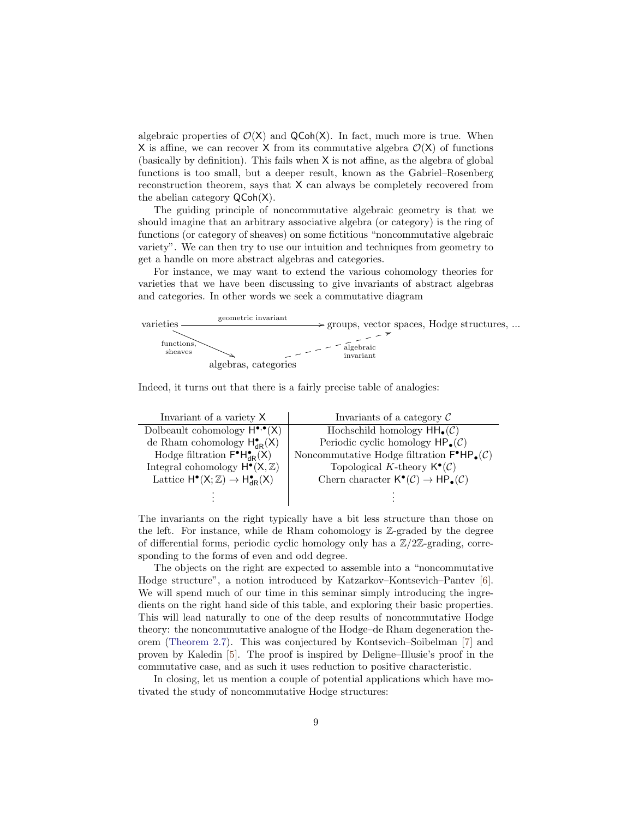algebraic properties of  $\mathcal{O}(X)$  and  $\mathsf{QCoh}(X)$ . In fact, much more is true. When X is affine, we can recover X from its commutative algebra  $\mathcal{O}(X)$  of functions (basically by definition). This fails when X is not affine, as the algebra of global functions is too small, but a deeper result, known as the Gabriel–Rosenberg reconstruction theorem, says that X can always be completely recovered from the abelian category QCoh(X).

The guiding principle of noncommutative algebraic geometry is that we should imagine that an arbitrary associative algebra (or category) is the ring of functions (or category of sheaves) on some fictitious "noncommutative algebraic variety". We can then try to use our intuition and techniques from geometry to get a handle on more abstract algebras and categories.

For instance, we may want to extend the various cohomology theories for varieties that we have been discussing to give invariants of abstract algebras and categories. In other words we seek a commutative diagram



Indeed, it turns out that there is a fairly precise table of analogies:

| Invariant of a variety X                                    | Invariants of a category $\mathcal C$                                                      |
|-------------------------------------------------------------|--------------------------------------------------------------------------------------------|
| Dolbeault cohomology $H^{\bullet,\bullet}(X)$               | Hochschild homology $HH_{\bullet}(\mathcal{C})$                                            |
| de Rham cohomology $H_{dR}^{\bullet}(X)$                    | Periodic cyclic homology $HP_{\bullet}(\mathcal{C})$                                       |
| Hodge filtration $F^{\bullet}H^{\bullet}_{\text{dR}}(X)$    | Noncommutative Hodge filtration $\mathsf{F}^{\bullet}\mathsf{HP}_{\bullet}(\mathcal{C})$   |
| Integral cohomology $H^{\bullet}(X,\mathbb{Z})$             | Topological K-theory $\mathsf{K}^{\bullet}(\mathcal{C})$                                   |
| Lattice $H^{\bullet}(X;\mathbb{Z}) \to H^{\bullet}_{dR}(X)$ | Chern character $\mathsf{K}^{\bullet}(\mathcal{C}) \to \mathsf{HP}_{\bullet}(\mathcal{C})$ |
|                                                             |                                                                                            |
|                                                             |                                                                                            |

The invariants on the right typically have a bit less structure than those on the left. For instance, while de Rham cohomology is Z-graded by the degree of differential forms, periodic cyclic homology only has a  $\mathbb{Z}/2\mathbb{Z}$ -grading, corresponding to the forms of even and odd degree.

The objects on the right are expected to assemble into a "noncommutative Hodge structure", a notion introduced by Katzarkov–Kontsevich–Pantev [\[6\]](#page-10-1). We will spend much of our time in this seminar simply introducing the ingredients on the right hand side of this table, and exploring their basic properties. This will lead naturally to one of the deep results of noncommutative Hodge theory: the noncommutative analogue of the Hodge–de Rham degeneration theorem [\(Theorem 2.7\)](#page-7-0). This was conjectured by Kontsevich–Soibelman [\[7\]](#page-10-2) and proven by Kaledin [\[5\]](#page-10-3). The proof is inspired by Deligne–Illusie's proof in the commutative case, and as such it uses reduction to positive characteristic.

In closing, let us mention a couple of potential applications which have motivated the study of noncommutative Hodge structures: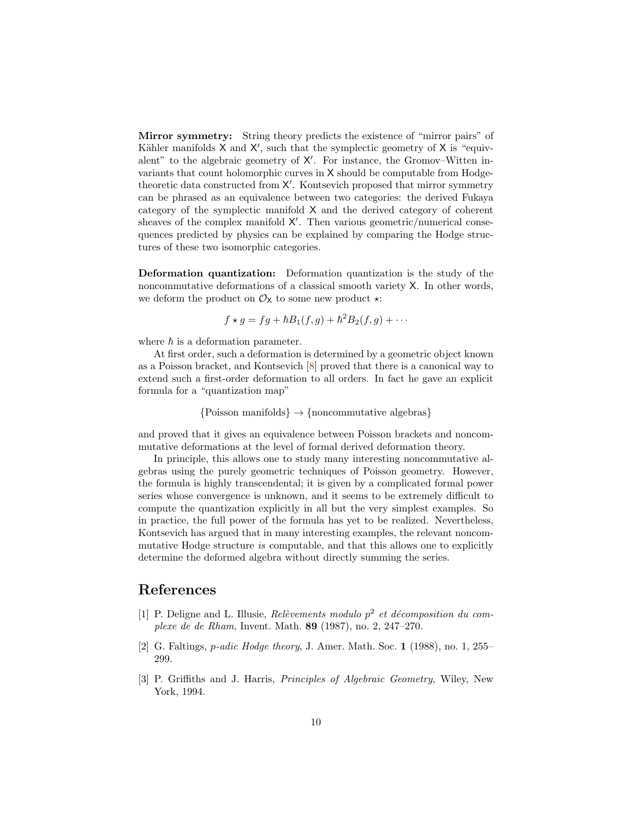Mirror symmetry: String theory predicts the existence of "mirror pairs" of Kähler manifolds  $X$  and  $X'$ , such that the symplectic geometry of  $X$  is "equivalent" to the algebraic geometry of  $X'$ . For instance, the Gromov–Witten invariants that count holomorphic curves in X should be computable from Hodgetheoretic data constructed from  $X'$ . Kontsevich proposed that mirror symmetry can be phrased as an equivalence between two categories: the derived Fukaya category of the symplectic manifold X and the derived category of coherent sheaves of the complex manifold  $X'$ . Then various geometric/numerical consequences predicted by physics can be explained by comparing the Hodge structures of these two isomorphic categories.

Deformation quantization: Deformation quantization is the study of the noncommutative deformations of a classical smooth variety X. In other words, we deform the product on  $\mathcal{O}_{\mathsf{X}}$  to some new product  $\star$ :

$$
f \star g = fg + \hbar B_1(f,g) + \hbar^2 B_2(f,g) + \cdots
$$

where  $\hbar$  is a deformation parameter.

At first order, such a deformation is determined by a geometric object known as a Poisson bracket, and Kontsevich [\[8\]](#page-10-4) proved that there is a canonical way to extend such a first-order deformation to all orders. In fact he gave an explicit formula for a "quantization map"

 ${Poisson manifolds} \rightarrow {noncommutative algebras}$ 

and proved that it gives an equivalence between Poisson brackets and noncommutative deformations at the level of formal derived deformation theory.

In principle, this allows one to study many interesting noncommutative algebras using the purely geometric techniques of Poisson geometry. However, the formula is highly transcendental; it is given by a complicated formal power series whose convergence is unknown, and it seems to be extremely difficult to compute the quantization explicitly in all but the very simplest examples. So in practice, the full power of the formula has yet to be realized. Nevertheless, Kontsevich has argued that in many interesting examples, the relevant noncommutative Hodge structure is computable, and that this allows one to explicitly determine the deformed algebra without directly summing the series.

# References

- <span id="page-9-2"></span>[1] P. Deligne and L. Illusie, Relèvements modulo  $p^2$  et décomposition du complexe de de Rham, Invent. Math. 89 (1987), no. 2, 247–270.
- <span id="page-9-1"></span>[2] G. Faltings, p-adic Hodge theory, J. Amer. Math. Soc. 1 (1988), no. 1, 255– 299.
- <span id="page-9-0"></span>[3] P. Griffiths and J. Harris, Principles of Algebraic Geometry, Wiley, New York, 1994.